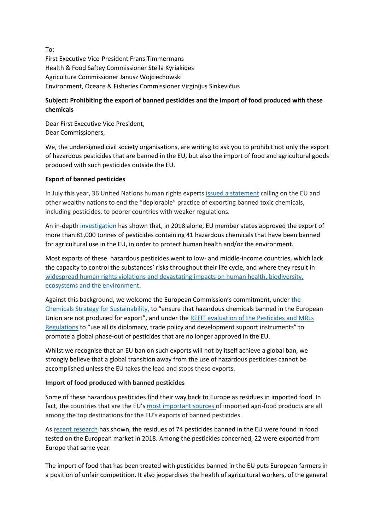To: First Executive Vice-President Frans Timmermans Health & Food Saftey Commissioner Stella Kyriakides Agriculture Commissioner Janusz Wojciechowski Environment, Oceans & Fisheries Commissioner Virginijus Sinkevičius

# **Subject: Prohibiting the export of banned pesticides and the import of food produced with these chemicals**

Dear First Executive Vice President, Dear Commissioners,

We, the undersigned civil society organisations, are writing to ask you to prohibit not only the export of hazardous pesticides that are banned in the EU, but also the import of food and agricultural goods produced with such pesticides outside the EU.

# **Export of banned pesticides**

In July this year, 36 United Nations human rights expert[s issued a statement](https://www.ohchr.org/EN/NewsEvents/Pages/DisplayNews.aspx?NewsID=26063&LangID=E) calling on the EU and other wealthy nations to end the "deplorable" practice of exporting banned toxic chemicals, including pesticides, to poorer countries with weaker regulations.

An in-depth [investigation](https://unearthed.greenpeace.org/2020/09/10/banned-pesticides-eu-export-poor-countries/) has shown that, in 2018 alone, EU member states approved the export of more than 81,000 tonnes of pesticides containing 41 hazardous chemicals that have been banned for agricultural use in the EU, in order to protect human health and/or the environment.

Most exports of these hazardous pesticides went to low- and middle-income countries, which lack the capacity to control the substances' risks throughout their life cycle, and where they result in [widespread human rights violations and devastating impacts on human health,](https://www.ohchr.org/EN/Issues/Environment/ToxicWastes/Pages/Pesticidesrighttofood.aspx) biodiversity, ecosystems and the environment.

Against this background, we welcome the European Commission's commitment, under [the](https://ec.europa.eu/environment/pdf/chemicals/2020/10/Strategy.pdf)  [Chemicals Strategy for Sustainability,](https://ec.europa.eu/environment/pdf/chemicals/2020/10/Strategy.pdf) to "ensure that hazardous chemicals banned in the European Union are not produced for export", and under the REFIT evaluation of the Pesticides and MRLs [Regulations](https://eur-lex.europa.eu/legal-content/EN/TXT/?uri=CELEX:52020DC0208) to "use all its diplomacy, trade policy and development support instruments" to promote a global phase-out of pesticides that are no longer approved in the EU.

Whilst we recognise that an EU ban on such exports will not by itself achieve a global ban, we strongly believe that a global transition away from the use of hazardous pesticides cannot be accomplished unless the EU takes the lead and stops these exports.

# **Import of food produced with banned pesticides**

Some of these hazardous pesticides find their way back to Europe as residues in imported food. In fact, the countries that are the EU's [most important sources](https://ec.europa.eu/info/sites/info/files/food-farming-fisheries/trade/documents/monitoring-agri-food-trade_oct2019_en_1.pdf) of imported agri-food products are all among the top destinations for the EU's exports of banned pesticides.

As [recent research](https://www.pan-europe.info/press-releases/2020/09/banned-and-hazardous-pesticides-european-food-report-highlights) has shown, the residues of 74 pesticides banned in the EU were found in food tested on the European market in 2018. Among the pesticides concerned, 22 were exported from Europe that same year.

The import of food that has been treated with pesticides banned in the EU puts European farmers in a position of unfair competition. It also jeopardises the health of agricultural workers, of the general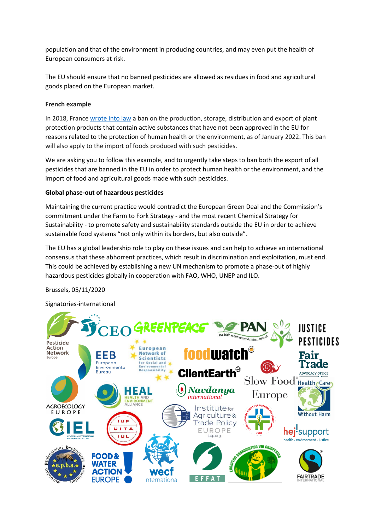population and that of the environment in producing countries, and may even put the health of European consumers at risk.

The EU should ensure that no banned pesticides are allowed as residues in food and agricultural goods placed on the European market.

### **French example**

In 2018, France [wrote into law](https://www.legifrance.gouv.fr/jorf/id/JORFTEXT000037547946/) a ban on the production, storage, distribution and export of plant protection products that contain active substances that have not been approved in the EU for reasons related to the protection of human health or the environment, as of January 2022. This ban will also apply to the import of foods produced with such pesticides.

We are asking you to follow this example, and to urgently take steps to ban both the export of all pesticides that are banned in the EU in order to protect human health or the environment, and the import of food and agricultural goods made with such pesticides.

#### **Global phase-out of hazardous pesticides**

Maintaining the current practice would contradict the European Green Deal and the Commission's commitment under the Farm to Fork Strategy - and the most recent Chemical Strategy for Sustainability - to promote safety and sustainability standards outside the EU in order to achieve sustainable food systems "not only within its borders, but also outside".

The EU has a global leadership role to play on these issues and can help to achieve an international consensus that these abhorrent practices, which result in discrimination and exploitation, must end. This could be achieved by establishing a new UN mechanism to promote a phase-out of highly hazardous pesticides globally in cooperation with FAO, WHO, UNEP and ILO.

Brussels, 05/11/2020

Signatories-international

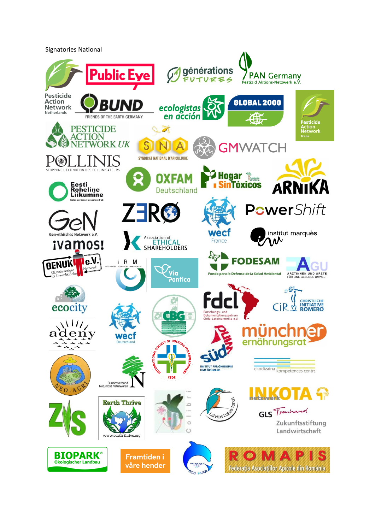Signatories National

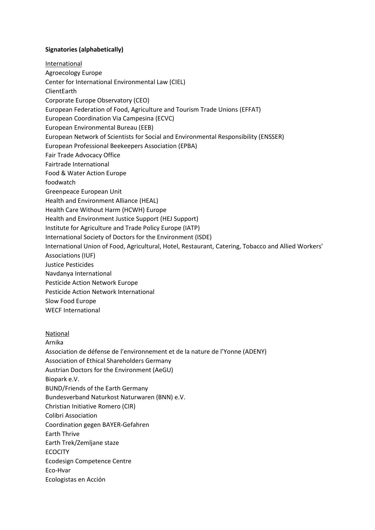### **Signatories (alphabetically)**

**International** 

Agroecology Europe

Center for International Environmental Law (CIEL)

ClientEarth

Corporate Europe Observatory (CEO)

European Federation of Food, Agriculture and Tourism Trade Unions (EFFAT)

European Coordination Via Campesina (ECVC)

European Environmental Bureau (EEB)

European Network of Scientists for Social and Environmental Responsibility (ENSSER)

European Professional Beekeepers Association (EPBA)

Fair Trade Advocacy Office

Fairtrade International

Food & Water Action Europe

foodwatch

Greenpeace European Unit

Health and Environment Alliance (HEAL)

Health Care Without Harm (HCWH) Europe

Health and Environment Justice Support (HEJ Support)

Institute for Agriculture and Trade Policy Europe (IATP)

International Society of Doctors for the Environment (ISDE)

International Union of Food, Agricultural, Hotel, Restaurant, Catering, Tobacco and Allied Workers'

Associations (IUF)

Justice Pesticides

Navdanya International

Pesticide Action Network Europe

Pesticide Action Network International

Slow Food Europe

WECF International

#### National

Arnika

Association de défense de l'environnement et de la nature de l'Yonne (ADENY)

Association of Ethical Shareholders Germany

Austrian Doctors for the Environment (AeGU)

Biopark e.V.

BUND/Friends of the Earth Germany

Bundesverband Naturkost Naturwaren (BNN) e.V.

Christian Initiative Romero (CIR)

Colibri Association

Coordination gegen BAYER-Gefahren

Earth Thrive

Earth Trek/Zemljane staze

ECOCITY

Ecodesign Competence Centre

Eco-Hvar

Ecologistas en Acción